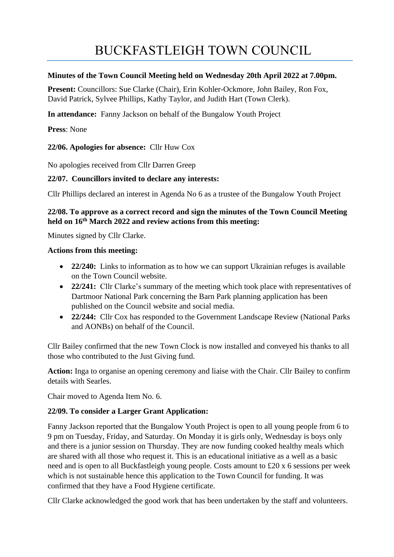# BUCKFASTLEIGH TOWN COUNCIL

#### **Minutes of the Town Council Meeting held on Wednesday 20th April 2022 at 7.00pm.**

**Present:** Councillors: Sue Clarke (Chair), Erin Kohler-Ockmore, John Bailey, Ron Fox, David Patrick, Sylvee Phillips, Kathy Taylor, and Judith Hart (Town Clerk).

**In attendance:** Fanny Jackson on behalf of the Bungalow Youth Project

**Press**: None

**22/06. Apologies for absence:** Cllr Huw Cox

No apologies received from Cllr Darren Greep

#### **22/07. Councillors invited to declare any interests:**

Cllr Phillips declared an interest in Agenda No 6 as a trustee of the Bungalow Youth Project

# **22/08. To approve as a correct record and sign the minutes of the Town Council Meeting held on 16th March 2022 and review actions from this meeting:**

Minutes signed by Cllr Clarke.

#### **Actions from this meeting:**

- **22/240:** Links to information as to how we can support Ukrainian refuges is available on the Town Council website.
- **22/241:** Cllr Clarke's summary of the meeting which took place with representatives of Dartmoor National Park concerning the Barn Park planning application has been published on the Council website and social media.
- **22/244:** Cllr Cox has responded to the Government Landscape Review (National Parks and AONBs) on behalf of the Council.

Cllr Bailey confirmed that the new Town Clock is now installed and conveyed his thanks to all those who contributed to the Just Giving fund.

**Action:** Inga to organise an opening ceremony and liaise with the Chair. Cllr Bailey to confirm details with Searles.

Chair moved to Agenda Item No. 6.

## **22/09. To consider a Larger Grant Application:**

Fanny Jackson reported that the Bungalow Youth Project is open to all young people from 6 to 9 pm on Tuesday, Friday, and Saturday. On Monday it is girls only, Wednesday is boys only and there is a junior session on Thursday. They are now funding cooked healthy meals which are shared with all those who request it. This is an educational initiative as a well as a basic need and is open to all Buckfastleigh young people. Costs amount to £20 x 6 sessions per week which is not sustainable hence this application to the Town Council for funding. It was confirmed that they have a Food Hygiene certificate.

Cllr Clarke acknowledged the good work that has been undertaken by the staff and volunteers.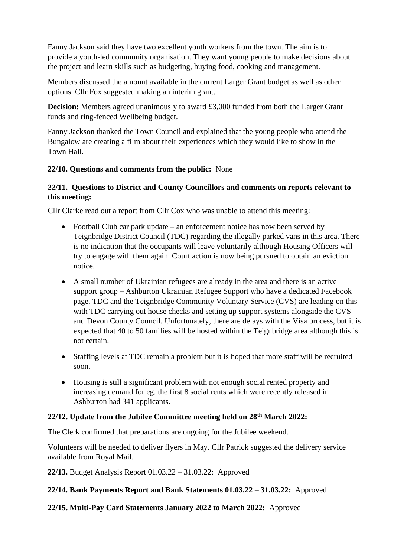Fanny Jackson said they have two excellent youth workers from the town. The aim is to provide a youth-led community organisation. They want young people to make decisions about the project and learn skills such as budgeting, buying food, cooking and management.

Members discussed the amount available in the current Larger Grant budget as well as other options. Cllr Fox suggested making an interim grant.

**Decision:** Members agreed unanimously to award £3,000 funded from both the Larger Grant funds and ring-fenced Wellbeing budget.

Fanny Jackson thanked the Town Council and explained that the young people who attend the Bungalow are creating a film about their experiences which they would like to show in the Town Hall.

# **22/10. Questions and comments from the public:** None

# **22/11. Questions to District and County Councillors and comments on reports relevant to this meeting:**

Cllr Clarke read out a report from Cllr Cox who was unable to attend this meeting:

- Football Club car park update an enforcement notice has now been served by Teignbridge District Council (TDC) regarding the illegally parked vans in this area. There is no indication that the occupants will leave voluntarily although Housing Officers will try to engage with them again. Court action is now being pursued to obtain an eviction notice.
- A small number of Ukrainian refugees are already in the area and there is an active support group – Ashburton Ukrainian Refugee Support who have a dedicated Facebook page. TDC and the Teignbridge Community Voluntary Service (CVS) are leading on this with TDC carrying out house checks and setting up support systems alongside the CVS and Devon County Council. Unfortunately, there are delays with the Visa process, but it is expected that 40 to 50 families will be hosted within the Teignbridge area although this is not certain.
- Staffing levels at TDC remain a problem but it is hoped that more staff will be recruited soon.
- Housing is still a significant problem with not enough social rented property and increasing demand for eg. the first 8 social rents which were recently released in Ashburton had 341 applicants.

## **22/12. Update from the Jubilee Committee meeting held on 28th March 2022:**

The Clerk confirmed that preparations are ongoing for the Jubilee weekend.

Volunteers will be needed to deliver flyers in May. Cllr Patrick suggested the delivery service available from Royal Mail.

**22/13.** Budget Analysis Report 01.03.22 – 31.03.22: Approved

## **22/14. Bank Payments Report and Bank Statements 01.03.22 – 31.03.22:** Approved

# **22/15. Multi-Pay Card Statements January 2022 to March 2022:** Approved